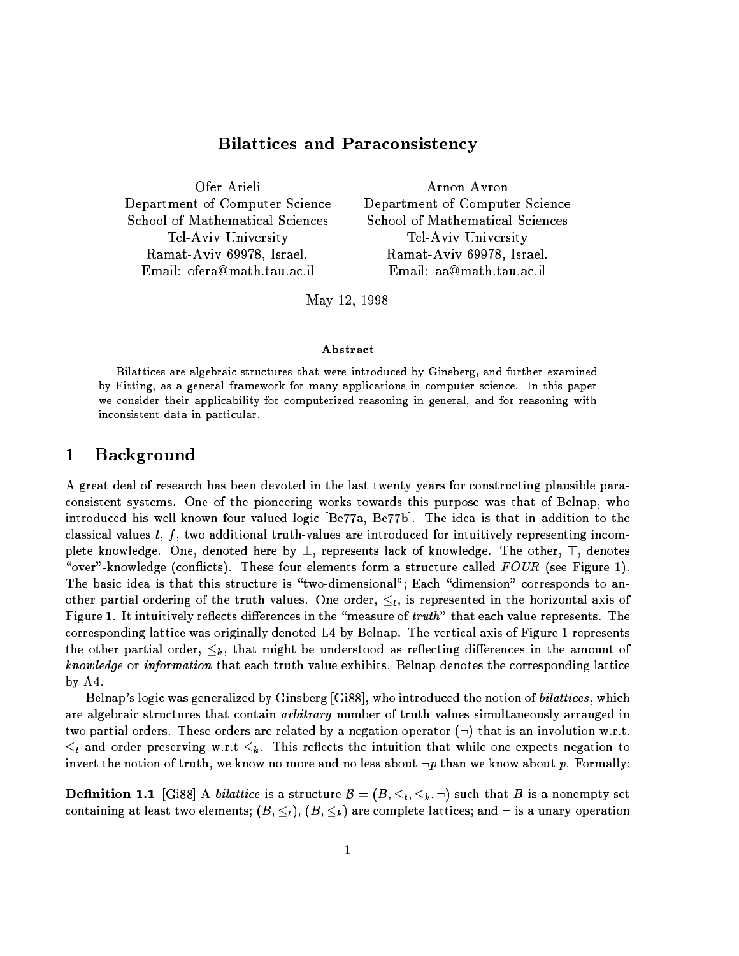# $\blacksquare$  -reconsistency and Paraconsistency and Paraconsistency and Paraconsistency and Paraconsistency and Paraconsistency and Paraconsistency and Paraconsistency and Paraconsistency and Paraconsistency and Paraconsistency

Ofer Arieli Arnon Avron Ramat-Aviv 69978, Israel. Ramat-Aviv 69978, Israel.

Department of Computer Science Department of Computer Science School of Mathematical Sciences School of Mathematical Sciences Tel-Aviv University Tel-Aviv University Email: ofera@math.tau.ac.il Email: aa@math.tau.ac.il

May 12, 1998

### Abstract

Bilattices are algebraic structures that were introduced by Ginsberg, and further examined by Fitting, as a general framework for many applications in computer science. In this paper we consider their applications, for computerized reasoning in general, and for reasoning with inconsistent data in particular.

### 1Background

A great deal of research has been devoted in the last twenty years for constructing plausible paraconsistent systems. One of the pioneering works towards this purpose was that of Belnap, who introduced his well-known four-valued logic [Be77a, Be77b]. The idea is that in addition to the classical values  $t, f$ , two additional truth-values are introduced for intuitively representing incomplete knowledge. One, denoted here by  $\perp$ , represents lack of knowledge. The other,  $\top$ , denotes "over"-knowledge (conflicts). These four elements form a structure called  $FOUR$  (see Figure 1). The basic idea is that this structure is "two-dimensional"; Each "dimension" corresponds to another partial ordering of the truth values. One order,  $\leq_t$ , is represented in the horizontal axis of Figure 1. It intuitively reflects differences in the "measure of truth" that each value represents. The corresponding lattice was originally denoted L4 by Belnap. The vertical axis of Figure 1 represents the other partial order,  $\leq_k$ , that might be understood as reflecting differences in the amount of knowledge or information that each truth value exhibits. Belnap denotes the corresponding lattice by A4.

Belnap's logic was generalized by Ginsberg  $[G188]$ , who introduced the notion of *bilattices*, which are algebraic structures that contain *arbitrary* number of truth values simultaneously arranged in two partial orders. These orders are related by a negation operator  $(\neg)$  that is an involution w.r.t.  $\leq_t$  and order preserving w.r.t  $\leq_k$ . This reflects the intuition that while one expects negation to invert the notion of truth, we know no more and no less about  $\neg p$  than we know about p. Formally:

**Definition 1.1** [Gi88] A *bilattice* is a structure  $B = (B, \leq_t, \leq_k, \neg)$  such that B is a nonempty set containing at least two elements;  $(B, \leq_t)$ ,  $(B, \leq_k)$  are complete lattices; and  $\neg$  is a unary operation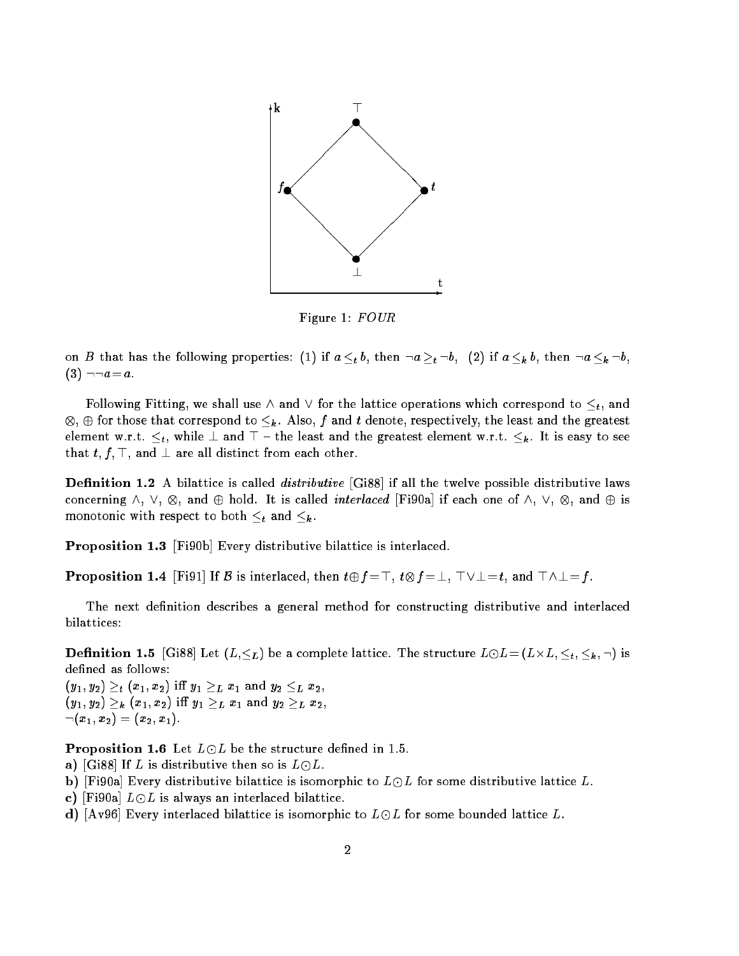

Figure 1: FOUR

on B that has the following properties: (1) if  $a \leq_t b$ , then  $\neg a \geq_t \neg b$ , (2) if  $a \leq_k b$ , then  $\neg a \leq_k \neg b$ ,  $(3) \neg \neg a = a$ .

Following Fitting, we shall use  $\wedge$  and  $\vee$  for the lattice operations which correspond to  $\leq_t$ , and , we are those that corresponds to k . Also, f and the least  $\alpha$  is the least and the greatest and the greatest element w.r.t.  $\leq_t$ , while  $\perp$  and  $\top$  - the least and the greatest element w.r.t.  $\leq_k$ . It is easy to see that  $t, f, \top$ , and  $\bot$  are all distinct from each other.

**Definition 1.2** A bilattice is called *distributive* [Gi88] if all the twelve possible distributive laws concerning  $\alpha$  ,  $\alpha$  , and  $\omega$  interlaced interlaced interlaced  $\beta$  is each order  $\alpha$  is  $\alpha$  is and  $\alpha$ monotonic with respect to both  $\leq_t$  and  $\leq_k$ .

Proposition 1.3 [Fi90b] Every distributive bilattice is interlaced.

**Proposition 1.4** [Fi91] If B is interlaced, then  $t \oplus f = \top$ ,  $t \otimes f = \bot$ ,  $\top \vee \bot = t$ , and  $\top \wedge \bot = f$ .

The next definition describes a general method for constructing distributive and interlaced bilattices:

**Definition 1.5** [Gi88] Let  $(L, \leq_L)$  be a complete lattice. The structure  $L \odot L = (L \times L, \leq_t, \leq_h, \neg)$  is defined as follows:

 $(y_1, y_2) \geq_t (x_1, x_2)$  iff  $y_1 \geq_L x_1$  and  $y_2 \leq_L x_2$ ,  $(y_1, y_2) \geq_k (x_1, x_2) \text{ iff } y_1 \geq_L x_1 \text{ and } y_2 \geq_L x_2,$  $\neg(x_1,x_2)=(x_2,x_1).$ 

**Proposition 1.6** Let  $L \odot L$  be the structure defined in 1.5.

- a) [Gi88] If L is distributive then so is  $L \odot L$ .
- b) [Fi90a] Every distributive bilattice is isomorphic to  $L \odot L$  for some distributive lattice L.
- c) [Fi90a]  $L \odot L$  is always an interlaced bilattice.
- d) [Av96] Every interlaced bilattice is isomorphic to  $L \odot L$  for some bounded lattice L.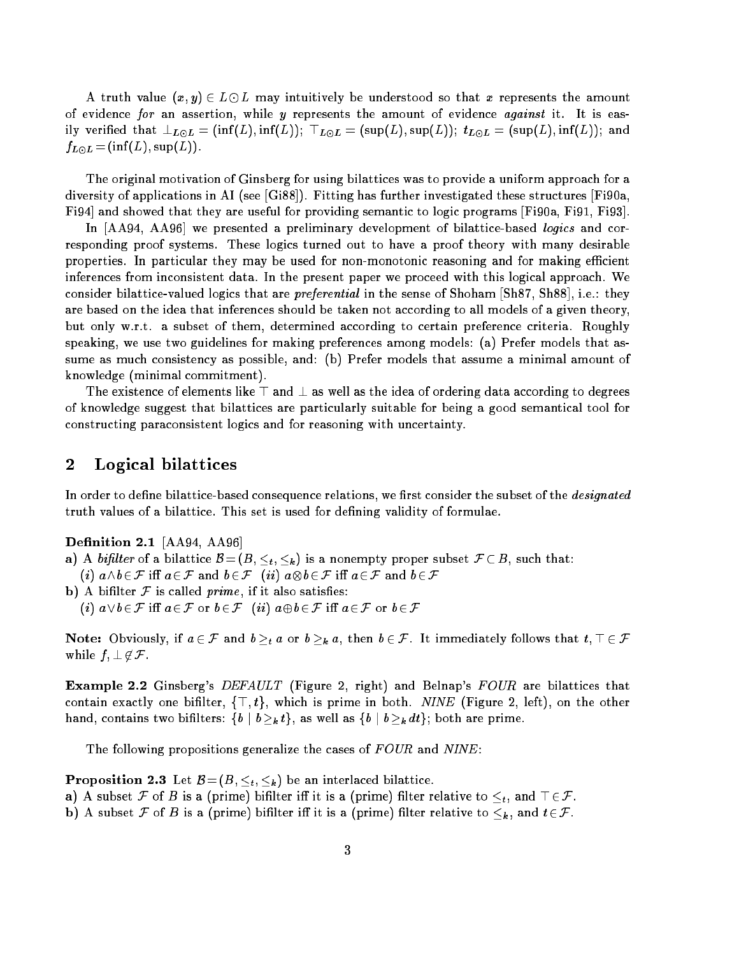A truth value  $(x, y) \in L \odot L$  may intuitively be understood so that x represents the amount of evidence for an assertion, while  $y$  represents the amount of evidence *against* it. It is easily verified that  $\bot_{L\odot L} = (\inf(L), \inf(L));$   $\top_{L\odot L} = (\sup(L), \sup(L));$   $t_{L\odot L} = (\sup(L), \inf(L));$  and  $f_{L\odot L}$  = (inf(L), sup(L)).

The original motivation of Ginsberg for using bilattices was to provide a uniform approach for a diversity of applications in AI (see [Gi88]). Fitting has further investigated these structures [Fi90a, Fi94] and showed that they are useful for providing semantic to logic programs [Fi90a, Fi91, Fi93].

In [AA94, AA96] we presented a preliminary development of bilattice-based logics and corresponding proof systems. These logics turned out to have a proof theory with many desirable properties. In particular they may be used for non-monotonic reasoning and for making efficient inferences from inconsistent data. In the present paper we proceed with this logical approach. We consider bilattice-valued logics that are *preferential* in the sense of Shoham [Sh87, Sh88], i.e.: they are based on the idea that inferences should be taken not according to all models of a given theory, but only w.r.t. a subset of them, determined according to certain preference criteria. Roughly speaking, we use two guidelines for making preferences among models: (a) Prefer models that assume as much consistency as possible, and: (b) Prefer models that assume a minimal amount of knowledge (minimal commitment).

The existence of elements like  $\top$  and  $\bot$  as well as the idea of ordering data according to degrees of knowledge suggest that bilattices are particularly suitable for being a good semantical tool for constructing paraconsistent logics and for reasoning with uncertainty.

### 2Logical bilattices

In order to define bilattice-based consequence relations, we first consider the subset of the *designated* truth values of a bilattice. This set is used for defining validity of formulae.

**Definition 2.1** [AA94, AA96]

- a) A bifilter of a bilattice  $\mathcal{B} = (B, \leq_t, \leq_k)$  is a nonempty proper subset  $\mathcal{F} \subset B$ , such that:
- b) A bifilter  $F$  is called prime, if it also satisfies: (i)  $a \vee b \in \mathcal{F}$  iff  $a \in \mathcal{F}$  or  $b \in \mathcal{F}$  (ii)  $a \oplus b \in \mathcal{F}$  iff  $a \in \mathcal{F}$  or  $b \in \mathcal{F}$

(iii) and b2F iii) ab2F indicates ab2F indicates ab2F indicates ab2F indicates ab2F indicates ab2F indicates ab

Note: Obviously, if  $a \in \mathcal{F}$  and  $b >_t a$  or  $b >_k a$ , then  $b \in \mathcal{F}$ . It immediately follows that  $t, \top \in \mathcal{F}$ while  $f, \perp \notin \mathcal{F}$ .

**Example 2.2** Ginsberg's DEFAULT (Figure 2, right) and Belnap's FOUR are bilattices that contain exactly one bifilter,  $\{\top, t\}$ , which is prime in both. NINE (Figure 2, left), on the other hand, contains two bifilters:  $\{b \mid b \geq_k t\}$ , as well as  $\{b \mid b \geq_k dt\}$ ; both are prime.

The following propositions generalize the cases of  $FOUR$  and  $NINE$ :

**Proposition 2.3** Let  $B = (B, \leq_t, \leq_k)$  be an interlaced bilattice.

- a) A subset F of B is a (prime) bifilter iff it is a (prime) filter relative to  $\leq_t$ , and  $\top \in \mathcal{F}$ .
- b) A subset F of B is a (prime) bifilter iff it is a (prime) filter relative to  $\leq_k$ , and  $t \in \mathcal{F}$ .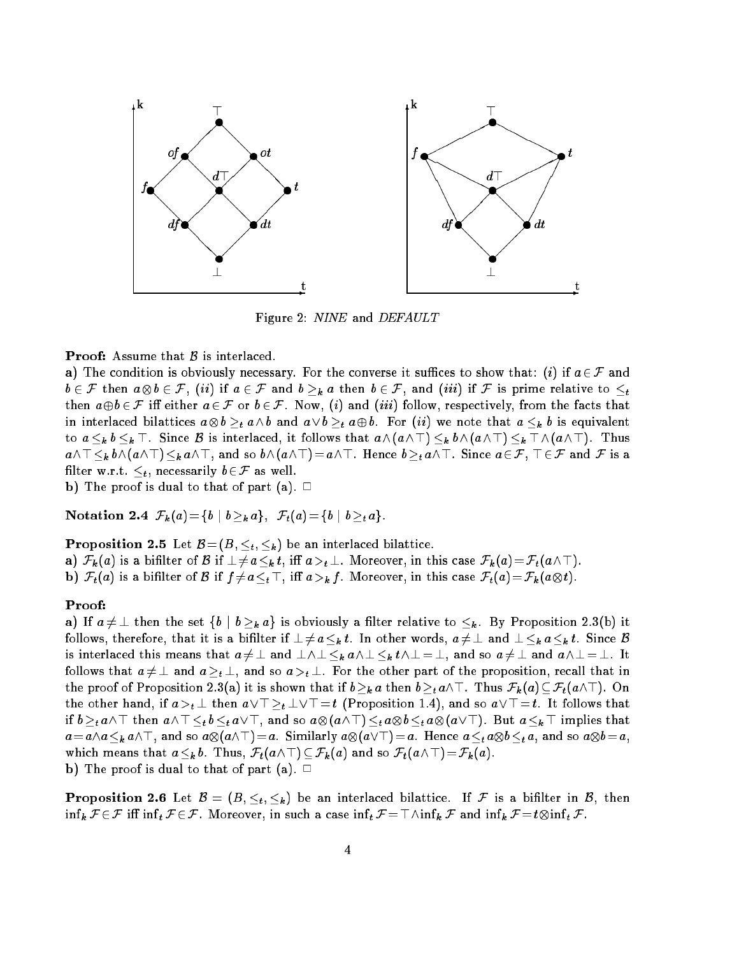

Figure 2: NINE and DEFAULT

## **Proof:** Assume that  $\beta$  is interlaced.

a) The condition is obviously necessary. For the converse it suffices to show that: (i) if  $a \in \mathcal{F}$  and be 2 F then above 2 F, (ii) if a 2 F and b k  $h$  a then b 2 F, and (iii) if F is present for the to the top then  $a \oplus b \in \mathcal{F}$  iff either  $a \in \mathcal{F}$  or  $b \in \mathcal{F}$ . Now, (i) and (iii) follow, respectively, from the facts that interlaced bilattices about a b and a set about a set about a set about a content of the set about  $\mathbf{h}$  is equivalent as equivalent as  $\mathbf{h}$  is equivalent as equivalent as  $\mathbf{h}$  is equivalent as  $\mathbf{h}$  is equi to  $a \leq_k b \leq_k \top$ . Since B is interlaced, it follows that  $a \wedge (a \wedge \top) \leq_k b \wedge (a \wedge \top) \leq_k \top \wedge (a \wedge \top)$ . Thus  $a\wedge\top\leq_k b\wedge(a\wedge\top)\leq_k a\wedge\top$ , and so  $b\wedge(a\wedge\top)=a\wedge\top$ . Hence  $b\geq_t a\wedge\top$ . Since  $a\in\mathcal{F}$ ,  $\top\in\mathcal{F}$  and  $\mathcal F$  is a filter w.r.t.  $\leq_t$ , necessarily  $b \in \mathcal{F}$  as well.

b) The proof is dual to that of part (a).  $\Box$ 

Notation 2.4  $\mathcal{F}_k(a) = \{b \mid b >_k a\}, \mathcal{F}_t(a) = \{b \mid b >_t a\}.$ 

**Proposition 2.5** Let  $\mathcal{B} = (B, \leq_t, \leq_k)$  be an interlaced bilattice.

a)  $\mathcal{F}_k(a)$  is a bifilter of B if  $\perp \neq a \leq_k t$ , iff  $a >_t \perp$ . Moreover, in this case  $\mathcal{F}_k(a) = \mathcal{F}_t(a \wedge \top)$ .

**b**)  $\mathcal{F}_t(a)$  is a bifilter of  $\mathcal B$  if  $f\neq a\leq_t \top$ , iff  $a>_k f$ . Moreover, in this case  $\mathcal F_t(a)=\mathcal F_k (a\otimes t)$ .

### Proof:

a) If  $a \neq \bot$  then the set  $\{b \mid b \geq_k a\}$  is obviously a filter relative to  $\leq_k$ . By Proposition 2.3(b) it follows, therefore, that it is a bifilter if  $\perp \neq a \leq_k t$ . In other words,  $a \neq \perp$  and  $\perp \leq_k a \leq_k t$ . Since B is interlaced this means that  $a \neq \perp$  and  $\perp \wedge \perp \leq_k a \wedge \perp \leq_k t \wedge \perp = \perp$ , and so  $a \neq \perp$  and  $a \wedge \perp = \perp$ . It follows that  $a \neq \perp$  and  $a \geq_t \perp$ , and so  $a >_t \perp$ . For the other part of the proposition, recall that in the proof of Proposition 2.3(a) it is shown that if  $b\geq_k a$  then  $b\geq_t a\wedge\top$ . Thus  $\mathcal{F}_k (a)\subseteq \mathcal{F}_t(a\wedge\top)$ . On the other hand, if  $a >_t \perp$  then  $a \vee \perp \geq_t \perp \vee \perp = t$  (Proposition 1.4), and so  $a \vee \perp = t$ . It follows that if b then are also and so and so and so and so and so and so and so according to a k  $\mu$  in the so and so and so a as and so and so and so and so and so and so and so and so and so and so and so a which means that  $a\leq_k b$ . Thus,  $\mathcal{F}_t(a\wedge\top)\subseteq\mathcal{F}_k(a)$  and so  $\mathcal{F}_t(a\wedge\top)=\mathcal{F}_k(a)$ . b) The proof is dual to that of part (a).  $\Box$ 

**Proposition 2.6** Let  $\mathcal{B} = (B, \leq_t, \leq_k)$  be an interlaced bilattice. If  $\mathcal F$  is a bifilter in  $\mathcal B$ , then inf the first term in the first term in the case in the case in the case in the infinite F and infinite F and i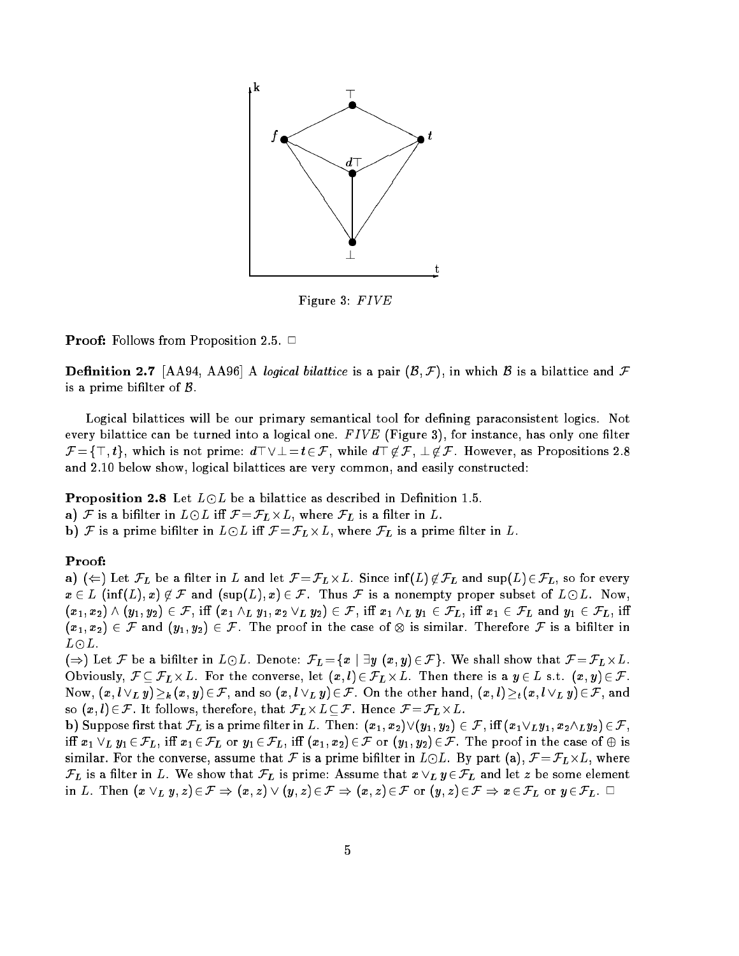

Figure 3:  $FIVE$ 

**Proof:** Follows from Proposition 2.5.  $\Box$ 

**Definition 2.7** [AA94, AA96] A logical bilattice is a pair  $(\mathcal{B}, \mathcal{F})$ , in which  $\mathcal{B}$  is a bilattice and  $\mathcal{F}$ is a prime bifilter of  $\beta$ .

Logical bilattices will be our primary semantical tool for defining paraconsistent logics. Not every bilattice can be turned into a logical one.  $FIVE$  (Figure 3), for instance, has only one filter  $\mathcal{F} = \{\top, t\}$ , which is not prime:  $d\top \lor \bot = t \in \mathcal{F}$ , while  $d\top \not\in \mathcal{F}$ ,  $\bot \not\in \mathcal{F}$ . However, as Propositions 2.8 and 2.10 below show, logical bilattices are very common, and easily constructed:

**Proposition 2.8** Let  $L \odot L$  be a bilattice as described in Definition 1.5.

a)  ${\mathcal F}$  is a bifilter in  $L\ominus L$  iff  ${\mathcal F}\!=\!{\mathcal F}_L\!\times\!L,$  where  ${\mathcal F}_L$  is a filter in  $L.$ 

**b**)  ${\cal F}$  is a prime bifilter in  $L\odot L$  iff  ${\cal F}\!=\!{\cal F}_L\!\times\!L,$  where  ${\cal F}_L$  is a prime filter in  $L.$ 

## Proof:

 ${\bf a})$   $(\Leftarrow)$  Let  $\mathcal F_L$  be a filter in  $L$  and let  $\mathcal F{ = } \mathcal F_L \times L.$  Since  $\inf(L) \not\in \mathcal F_L$  and  $\sup(L) \in \mathcal F_L,$  so for every  $x\in L$  (inf(L), x)  $\notin \mathcal{F}$  and  $(\sup(L), x) \in \mathcal{F}$ . Thus  $\mathcal{F}$  is a nonempty proper subset of  $L\odot L$ . Now,  $(x_1,x_2) \wedge (y_1,y_2) \in \mathcal{F}$ , iff  $(x_1 \wedge_L y_1, x_2 \vee_L y_2) \in \mathcal{F}$ , iff  $x_1 \wedge_L y_1 \in \mathcal{F}_L$ , iff  $x_1 \in \mathcal{F}_L$  and  $y_1 \in \mathcal{F}_L$ , iff  $\{x_1\},\, x_2\}$  , we can always a finite proof in the case of  $\cup$  is a binary from  $\cup$  is a binary form  $L\odot L$  .

()) Let <sup>F</sup> be a bilter in LL. Denote: FL =fx j 9y (x; y)2F g. We shall show that <sup>F</sup> =FL-L. Obviously, F FL-L. For the converse, let (x; l)2 FL -L. Then there is a y <sup>2</sup> L s.t. (x; y) 2 F. Now,  $(x, l \vee_L y) \geq_k (x, y) \in \mathcal{F}$ , and so  $(x, l \vee_L y) \in \mathcal{F}$ . On the other hand,  $(x, l) \geq_t (x, l \vee_L y) \in \mathcal{F}$ , and so (x; l) 2F. It follows, therefore, that FL-LF. Hence <sup>F</sup> =FL-L.

b) Suppose first that  $\mathcal{F}_L$  is a prime filter in L. Then:  $(x_1, x_2) \vee (y_1, y_2) \in \mathcal{F}$ , iff  $(x_1 \vee_L y_1, x_2 \wedge_L y_2) \in \mathcal{F}$ , iff  $x_1 \vee_L y_1 \in \mathcal{F}_L$ , iff  $x_1 \in \mathcal{F}_L$  or  $y_1 \in \mathcal{F}_L$ , iff  $(x_1, x_2) \in \mathcal{F}$  or  $(y_1, y_2) \in \mathcal{F}$ . The proof in the case of  $\oplus$  is similar. For the converse, assume that F is a prime bilter in Lemma bin L  $\sim$  $\mathcal{F}_L$  is a filter in L. We show that  $\mathcal{F}_L$  is prime: Assume that  $x \vee_L y \in \mathcal{F}_L$  and let z be some element in L. Then  $(x \vee_L y, z) \in \mathcal{F} \Rightarrow (x, z) \vee (y, z) \in \mathcal{F} \Rightarrow (x, z) \in \mathcal{F}$  or  $(y, z) \in \mathcal{F} \Rightarrow x \in \mathcal{F}_L$  or  $y \in \mathcal{F}_L$ .  $\Box$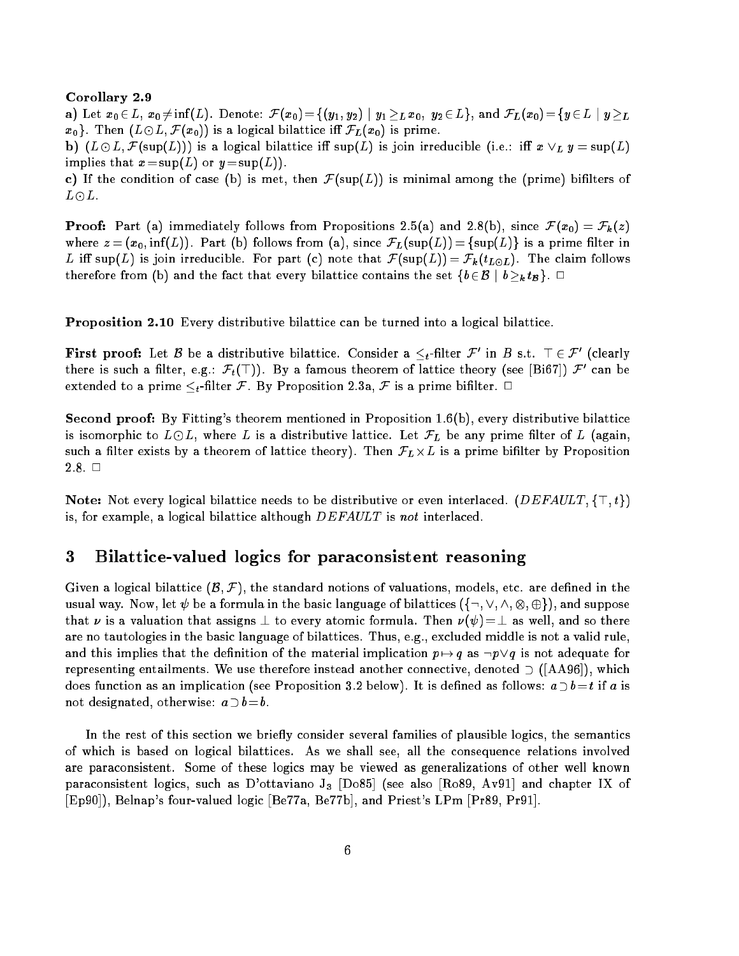## Corollary 2.9

a) Let  $x_0 \in L$ ,  $x_0 \neq \inf(L)$ . Denote:  $\mathcal{F}(x_0) = \{(y_1, y_2) \mid y_1 \geq_L x_0, y_2 \in L\}$ , and  $\mathcal{F}_L(x_0) = \{y \in L \mid y \geq_L L\}$  $x_0$ . Then  $(L\odot L, \mathcal{F}(x_0))$  is a logical bilattice iff  $\mathcal{F}_L(x_0)$  is prime.

b)  $(L \odot L, \mathcal{F}(\sup(L)))$  is a logical bilattice iff sup(L) is join irreducible (i.e.: iff  $x \vee_L y = \sup(L)$ implies that  $x = \sup(L)$  or  $y = \sup(L)$ .

c) If the condition of case (b) is met, then  $\mathcal{F}(\text{sup}(L))$  is minimal among the (prime) bifilters of  $L \odot L$ .

**Proof:** Part (a) immediately follows from Propositions 2.5(a) and 2.8(b), since  $\mathcal{F}(x_0) = \mathcal{F}_k(z)$ where  $z = (x_0, \inf(L))$ . Part (b) follows from (a), since  $\mathcal{F}_L(\sup(L)) = {\sup(L)}$  is a prime filter in L iff sup(L) is join irreducible. For part (c) note that  $\mathcal{F}(\sup(L)) = \mathcal{F}_{\bm k}(t_{L\odot L})$ . The claim follows therefore from (b) and the fact that every bilattice contains the set  $\{b \in \mathcal{B} \mid b \geq_k t \cdot B\}$ .

Proposition 2.10 Every distributive bilattice can be turned into a logical bilattice.

**First proof:** Let  $\mathcal B$  be a distributive bilattice. Consider a  $\leq_t$ -filter  $\mathcal F'$  in  $B$  s.t.  $\top \in \mathcal F'$  (clearly there is such a filter, e.g.:  $\mathcal{F}_t(\top)$ . By a famous theorem of lattice theory (see [Bi67])  $\mathcal{F}_c$  can be extended to a prime  $\leq_t$ -filter F. By Proposition 2.3a, F is a prime bifilter.  $\Box$ 

Second proof: By Fitting's theorem mentioned in Proposition 1.6(b), every distributive bilattice is isomorphic to  $L \odot L$ , where L is a distributive lattice. Let  $\mathcal{F}_L$  be any prime filter of L (again, such a theorem of lattice theorem of lattice theorem of lattice theory). Then  $P$  $2.8.$ 

**Note:** Not every logical bilattice needs to be distributive or even interlaced. (DEFAULT,  $\{\top, t\}$ ) is, for example, a logical bilattice although  $DEFAULT$  is not interlaced.

### 3Bilattice-valued logics for paraconsistent reasoning

Given a logical bilattice  $(\mathcal{B}, \mathcal{F})$ , the standard notions of valuations, models, etc. are defined in the was and way. Now, and the bilattic language of bilattices (figure suppose (figure ),  $\alpha$  ,  $\alpha$  ,  $\alpha$  ,  $\alpha$  ,  $\alpha$  ,  $\alpha$  ,  $\alpha$  ,  $\alpha$  ,  $\alpha$  ,  $\alpha$  ,  $\alpha$  ,  $\alpha$  ,  $\alpha$  ,  $\alpha$  ,  $\alpha$  ,  $\alpha$  ,  $\alpha$  ,  $\alpha$  ,  $\alpha$  ,  $\alpha$ that  $\nu$  is a valuation that assigns  $\perp$  to every atomic formula. Then  $\nu(\psi)=\perp$  as well, and so there are no tautologies in the basic language of bilattices. Thus, e.g., excluded middle is not a valid rule, and this implies that the definition of the material implication  $p \mapsto q$  as  $\neg p \vee q$  is not adequate for representing entailments. We use therefore instead another connective, denoted  $\supset$  ([AA96]), which does function as an implication (see Proposition 3.2 below). It is defined as follows:  $a \supset b = t$  if a is not designated, otherwise:  $a \supset b = b$ .

In the rest of this section we briefly consider several families of plausible logics, the semantics of which is based on logical bilattices. As we shall see, all the consequence relations involved are paraconsistent. Some of these logics may be viewed as generalizations of other well known paraconsistent logics, such as D'ottaviano  $J_3$  [Do85] (see also [Ro89, Av91] and chapter IX of [Ep90]), Belnap's four-valued logic [Be77a, Be77b], and Priest's LPm [Pr89, Pr91].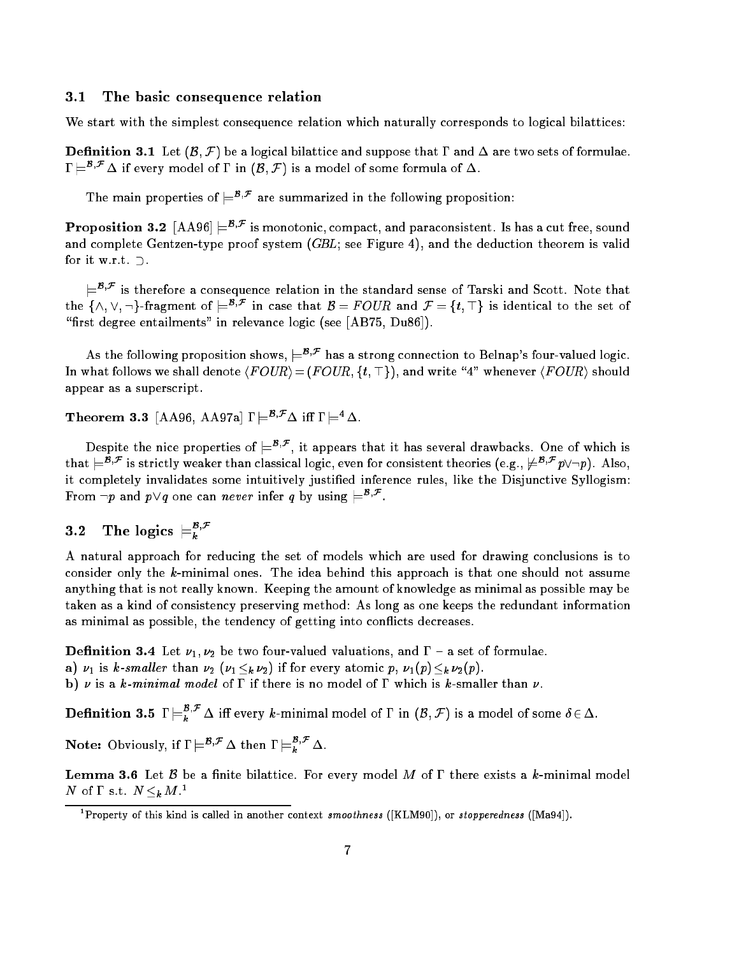#### 3.1The basic consequence relation

We start with the simplest consequence relation which naturally corresponds to logical bilattices:

**Definition 3.1** Let  $(\mathcal{B}, \mathcal{F})$  be a logical bilattice and suppose that  $\Gamma$  and  $\Delta$  are two sets of formulae.  $\Gamma\models^{\mathcal{B},\mathcal{F}}\Delta$  if every model of  $\Gamma$  in  $(\mathcal{B},\mathcal{F})$  is a model of some formula of  $\Delta$ .

I he main properties of  $\equiv$   $\sim$  are summarized in the following proposition:

**Proposition 3.2**  $[\text{AA}96] \models^{5,\mathcal{F}}$  is monotonic, compact, and paraconsistent. Is has a cut free, sound and complete Gentzen-type proof system  $(GBL;$  see Figure 4), and the deduction theorem is valid for it w.r.t.  $\supset$ .

 $\models^{r_{r_{r}}}$  is therefore a consequence relation in the standard sense of Tarski and Scott. Note that the  $\{\wedge, \vee, \neg\}$ -fragment of  $\equiv^{F\vee}$  in case that  $\mathcal{B} = F$  OUR and  $\mathcal{F} = \{t, \perp\}$  is identical to the set of "first degree entailments" in relevance logic (see  $[AB75, Du86]$ ).

As the following proposition shows,  $\models^{B,\mathcal{F}}$  has a strong connection to Belnap's four-valued logic. In what follows we shall denote  $\langle FOUR\rangle = (FOUR, \{t, \top\})$ , and write "4" whenever  $\langle FOUR\rangle$  should appear as a superscript.

**Theorem 3.3** [AA96, AA97a]  $\Gamma \models^{\mathcal{B},\mathcal{F}} \Delta$  iff  $\Gamma \models^4 \Delta$ .

Despite the nice properties of  $\models^{*r}$  , it appears that it has several drawbacks. One of which is that  $\equiv$  F; is strictly weaker than classical logic, even for consistent theories (e.g.,  $\not\equiv$   $\pi$ ,  $p\vee\neg p$ ). Also, it completely invalidates some intuitively justied inference rules, like the Disjunctive Syllogism: From  $\neg p$  and  $p \vee q$  one can *never* infer q by using  $\models$ 

### 3.2The logics  $\equiv_k^{B,\mathcal{F}}$

A natural approach for reducing the set of models which are used for drawing conclusions is to consider only the  $k$ -minimal ones. The idea behind this approach is that one should not assume anything that is not really known. Keeping the amount of knowledge as minimal as possible may be taken as a kind of consistency preserving method: As long as one keeps the redundant information as minimal as possible, the tendency of getting into con
icts decreases.

**Definition 3.4** Let  $\nu_1, \nu_2$  be two four-valued valuations, and  $\Gamma$  – a set of formulae.

- a)  $\nu_1$  is k-smaller than  $\nu_2$  ( $\nu_1 <_k \nu_2$ ) if for every atomic p,  $\nu_1(p) <_k \nu_2(p)$ .
- b)  $\nu$  is a k-minimal model of  $\Gamma$  if there is no model of  $\Gamma$  which is k-smaller than  $\nu$ .

 ${\bf Definition~3.5} \;\; \Gamma \models_k^{\rho, \mathcal{F}} \Delta \; \text{iff every $k$-minimal model of $\Gamma$ in $(\mathcal{B},\mathcal{F})$ is a model of some $\delta \in \Delta$}.$ 

Note: Obviously, if  $\Gamma \models^{B,\mathcal{F}} \Delta$  then  $\Gamma \models_k^{B,\mathcal{F}} \Delta$ .

**Lemma 3.6** Let B be a finite bilattice. For every model M of  $\Gamma$  there exists a k-minimal model IV OIL S.U. IV  $\leq_k M$ .

Property of this kind is called in another context  $\emph{s}$  moothness ([KLM90]), or stopperedness ([Ma94]).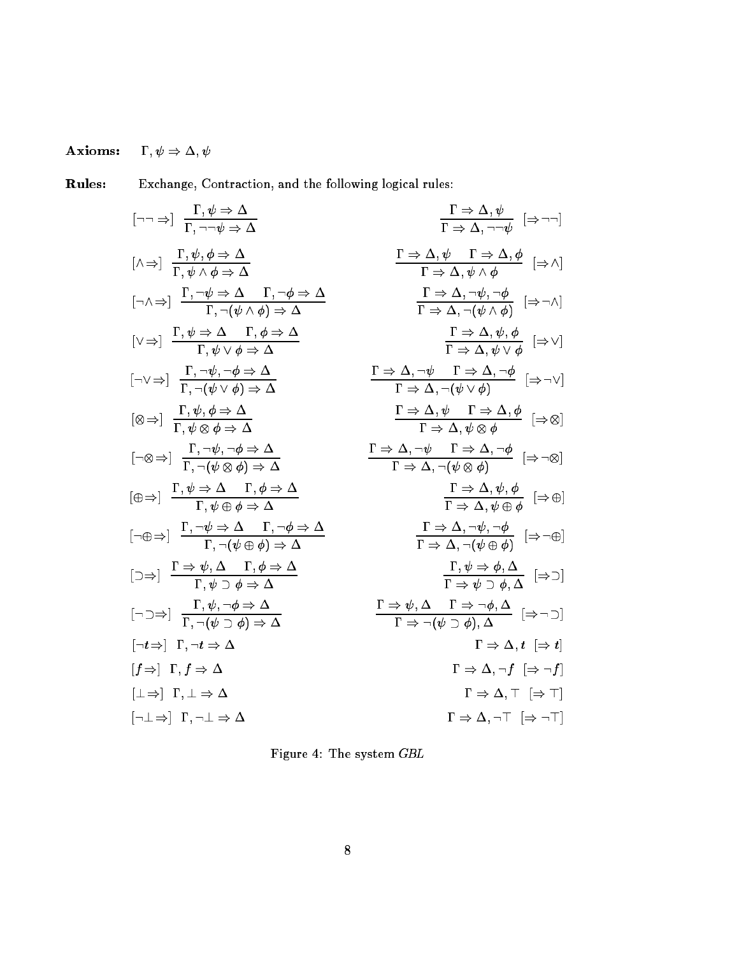### $\Gamma,\psi\Rightarrow\Delta,\psi$ Axioms:

Rules: Exchange, Contraction, and the following logical rules:

$$
\left[\begin{array}{ccccc} \left[\neg\Rightarrow\right] & \frac{\Gamma,\psi\Rightarrow\Delta}{\Gamma,\neg\psi\Rightarrow\Delta} & \frac{\Gamma\Rightarrow\Delta,\psi}{\Gamma\Rightarrow\Delta,\neg\psi} & \left[\Rightarrow\neg\right] \\\hline & \left[\wedge\Rightarrow\right] & \frac{\Gamma,\psi,\phi\Rightarrow\Delta}{\Gamma,\psi\wedge\phi\Rightarrow\Delta} & \frac{\Gamma\Rightarrow\Delta,\psi}{\Gamma\Rightarrow\Delta,\neg\psi\wedge\phi} & \left[\Rightarrow\wedge\right] \\\hline & \left[\wedge\wedge\Rightarrow\right] & \frac{\Gamma,\neg\psi\Rightarrow\Delta}{\Gamma,\neg(\psi\wedge\phi)\Rightarrow\Delta} & \frac{\Gamma\Rightarrow\Delta,\psi}{\Gamma\Rightarrow\Delta,\psi\wedge\phi} & \left[\Rightarrow\wedge\right] \\\hline & \left[\vee\Rightarrow\right] & \frac{\Gamma,\psi\Rightarrow\Delta}{\Gamma,\neg(\psi\wedge\phi)\Rightarrow\Delta} & \frac{\Gamma\Rightarrow\Delta,\neg\psi,\neg\phi}{\Gamma\Rightarrow\Delta,\neg(\psi\wedge\phi)} & \left[\Rightarrow\wedge\right] \\\hline & \left[\neg\vee\Rightarrow\right] & \frac{\Gamma,\psi,\phi\Rightarrow\Delta}{\Gamma,\neg(\psi\vee\phi)\Rightarrow\Delta} & \frac{\Gamma\Rightarrow\Delta,\neg\psi}{\Gamma\Rightarrow\Delta,\neg(\psi\vee\phi)} & \left[\Rightarrow\wedge\right] \\\hline & \left[\otimes\Rightarrow\right] & \frac{\Gamma,\psi,\phi\Rightarrow\Delta}{\Gamma,\psi\otimes\phi\Rightarrow\Delta} & \frac{\Gamma\Rightarrow\Delta,\neg\psi}{\Gamma\Rightarrow\Delta,\neg(\psi\vee\phi)} & \left[\Rightarrow\infty\right] \\\hline & \left[\oplus\Rightarrow\right] & \frac{\Gamma,\psi,\phi\Rightarrow\Delta}{\Gamma,\psi\otimes\phi\Rightarrow\Delta} & \frac{\Gamma\Rightarrow\Delta,\neg\psi}{\Gamma\Rightarrow\Delta,\neg(\psi\otimes\phi)} & \left[\Rightarrow\circ\otimes\right] \\\hline & \left[\neg\oplus\Rightarrow\right] & \frac{\Gamma,\psi\Rightarrow\Delta}{\Gamma,\psi\oplus\phi\Rightarrow\Delta} & \frac{\Gamma\Rightarrow\Delta,\neg\psi}{\Gamma\Rightarrow\Delta,\neg(\psi\otimes\phi)} & \left[\Rightarrow\neg\oplus\right] \\\hline & \left[\neg\oplus\Rightarrow\right] & \frac{\Gamma\Rightarrow\psi,\Delta}{\Gamma,\neg(\psi\oplus\phi)\Rightarrow\Delta} & \frac{\Gamma\Rightarrow\Delta,\neg\psi,\neg\phi}{\Gamma\Rightarrow\Delta,\neg(\psi\oplus\phi)} & \left[\Rightarrow\neg
$$

Figure 4: The system GBL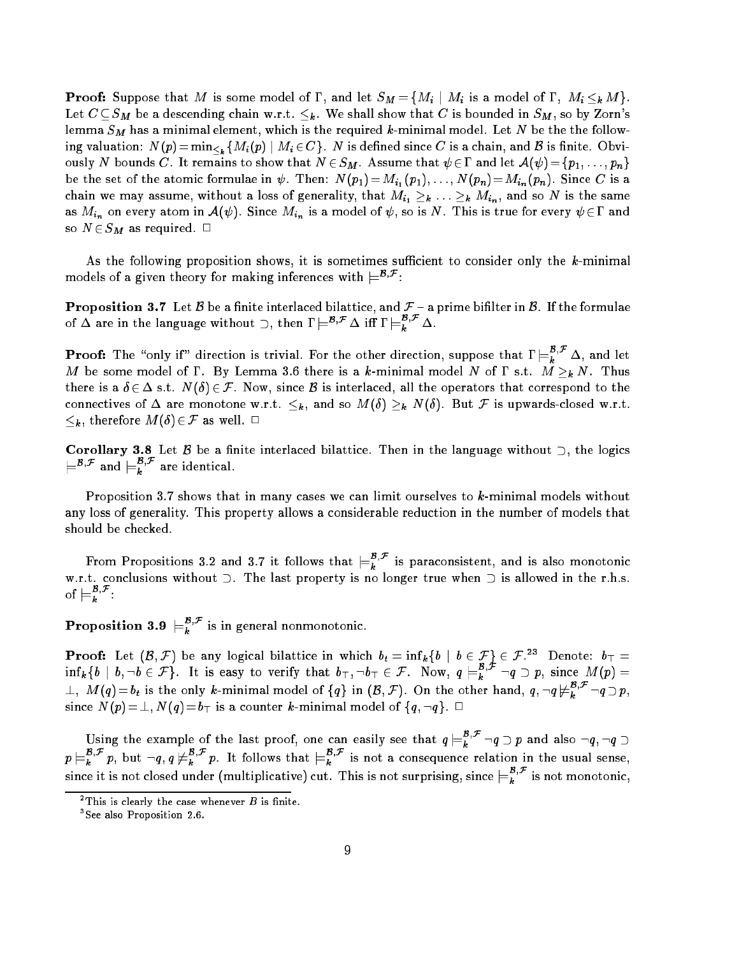**Proof:** Suppose that M is some model of  $\Gamma$ , and let  $S_M = \{M_i | M_i \text{ is a model of } \Gamma, M_i \leq_k M\}.$ Let  $C \subseteq S_M$  be a descending chain w.r.t.  $\leq_k$ . We shall show that C is bounded in  $S_M$ , so by Zorn's lemma  $S_M$  has a minimal element, which is the required k-minimal model. Let N be the the following valuation:  $N(p) = \min_{\leq k} \{ M_i(p) \mid M_i \in C \}$ . N is defined since C is a chain, and B is finite. Obviously N bounds C. It remains to show that  $N \in S_M$ . Assume that  $\psi \in \Gamma$  and let  $\mathcal{A}(\psi) = \{p_1, \ldots, p_n\}$ be the set of the atomic formulae in  $\psi$ . Then:  $N(p_1)=M_{i_1}(p_1), \ldots, N(p_n)=M_{i_n}(p_n)$ . Since C is a chain we may assume, without a loss of generality, that  $M_{i_1} \geq k \ldots \geq k M_{i_n}$ , and so N is the same as  $M_{i_n}$  on every atom in  $\mathcal{A}(\psi)$ . Since  $M_{i_n}$  is a model of  $\psi$ , so is  $N$  . This is true for every  $\psi\in\Gamma$  and so  $N \in S_M$  as required.  $\square$ 

As the following proposition shows, it is sometimes sufficient to consider only the  $k$ -minimal models of a given theory for making inferences with  $\equiv$   $\sim$  :

**Proposition 3.7** Let B be a finite interlaced bilattice, and  $\mathcal{F}$  – a prime bifilter in B. If the formulae of  $\Delta$  are in the language without  $\supset$ , then  $I \models^{E,\tau} \Delta$  iff  $I \models^{E,\tau}_k \Delta$ .

**Proof:** The "only if" direction is trivial. For the other direction, suppose that  $\Gamma \models_k^{E, F} \Delta$ , and let M be some model of  $\Gamma$ . By Lemma 3.6 there is a k-minimal model N of  $\Gamma$  s.t.  $M \geq_k N$ . Thus there is a  $\delta \in \Delta$  s.t.  $N(\delta) \in \mathcal{F}$ . Now, since  $\mathcal{B}$  is interlaced, all the operators that correspond to the connectives of  $\Delta$  are monotone w.r.t.  $\leq_k$ , and so  $M(\delta) \geq_k N(\delta)$ . But F is upwards-closed w.r.t.  $\leq_k$ , therefore  $M(\delta)\in\mathcal{F}$  as well.  $\Box$ 

Corollary 3.8 Let  $\beta$  be a finite interlaced bilattice. Then in the language without  $\supset$ , the logics  $\models''''$  and  $\models_k''$  are identical.

Proposition 3.7 shows that in many cases we can limit ourselves to k-minimal models without any loss of generality. This property allows a considerable reduction in the number of models that should be checked.

From Propositions 3.2 and 3.7 it follows that  $\models_k^r$  is paraconsistent, and is also monotonic w.r.t. conclusions without  $\supset$ . The last property is no longer true when  $\supset$  is allowed in the r.h.s. of  $\models L$ :

**Proposition 3.9**  $\models_k^{\rho,\mathcal{F}}$  is in general nonmonotonic.

**Proof:** Let  $(\mathcal{B}, \mathcal{F})$  be any logical bilattice in which  $b_t = \inf_k \{b \mid b \in \mathcal{F}\}\in \mathcal{F}.^{23}$  Denote:  $b_T =$ inf<sub>k</sub>{b | b,¬b ∈ *F*}. It is easy to verify that  $b_{\top}, \neg b_{\top} \in \mathcal{F}$ . Now,  $q \models_k^r \neg q \supset p$ , since  $M(p) =$  $\bot,$  M ( $q$ )  $=$   $b_t$  is the only k-minimal model of  $\{q\}$  in  $(\mathcal{B},\mathcal{F}).$  On the other hand,  $q$  ,  $\neg q \nvDash^{\mathbf{r}}_{\mathbf{k}}$  ,  $\neg q \supseteq p$  , since  $\mathcal{A}$  is a counter the counter of the counter model of fq; :quite  $\mathcal{A}$ 

Using the example of the last proof, one can easily see that  $q \models_k^r \neg q \supset p$  and also  $\neg q, \neg q \supset$  $p \models_k^r p$ , but  $\neg q, q \not \models_k^r p$ . It follows that  $\models_k^r$  is not a consequence relation in the usual sense, since it is not closed under (multiplicative) cut. This is not surprising, since  $\models_k^r\;$  is not monotonic,

 $\overline{\phantom{x}}$  I his is clearly the case whenever  $\overline{\phantom{x}}$  is finite.

<sup>3</sup> See also Proposition 2.6.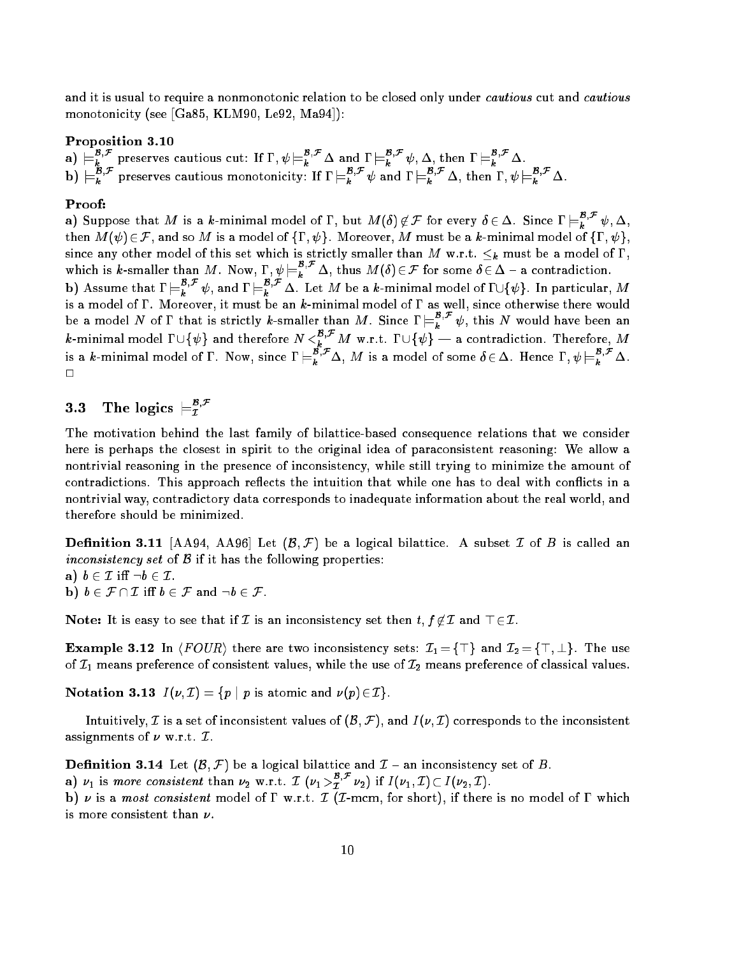and it is usual to require a nonmonotonic relation to be closed only under *cautious* cut and *cautious* monotonicity (see [Ga85, KLM90, Le92, Ma94]):

## Proposition 3.10

a)  $\models_k^{B,\mathcal{F}}$  preserves cautious cut: If  $\Gamma, \psi \models_k^{B,\mathcal{F}} \Delta$  and  $\Gamma \models_k^{B,\mathcal{F}} \psi, \Delta$ , then  $\Gamma \models_k^{B,\mathcal{F}} \Delta$ .<br>b)  $\models_k^{B,\mathcal{F}}$  preserves cautious monotonicity: If  $\Gamma \models_k^{B,\mathcal{F}} \psi$  and  $\Gamma \models_k^{B,\mathcal{F}} \Delta$ , then  $\Gamma, \psi \models_k$ 

## Proof:

a) Suppose that  $M$  is a  $k$ -minimal model of  $\Gamma,$  but  $M(\delta)\not\in\mathcal{F}$  for every  $\delta\in\Delta.$  Since  $\Gamma\models_k^{B,\mathcal{F}}\psi,\Delta,$ then  $M(\psi) \in \mathcal{F}$ , and so M is a model of  $\{\Gamma, \psi\}$ . Moreover, M must be a k-minimal model of  $\{\Gamma, \psi\}$ which is k-smaller than M. Now,  $\Gamma$ ,  $\psi \models_k^{B,\mathcal{F}} \Delta$ , thus  $M(\delta) \in \mathcal{F}$  for some  $\delta \in \Delta - \mathbf{a}$  contradiction.<br>b) Assume that  $\Gamma \models_k^{B,\mathcal{F}} \psi$ , and  $\Gamma \models_k^{B,\mathcal{F}} \Delta$ . Let M be a k-minimal model of  $\Gamma \cup \{\psi\}$ . In p

is a model of . Moreover, it must be an k-minimal model of as well, since otherwise there would be a model N of I that is strictly k-smaller than M. Since  $I \models_k^r \psi$ , this N would have been an  $k$ -minimal model  $1\cup \{\psi\}$  and therefore  $N<_{k}^{r,r}$   $M$  w.r.t.  $1\cup \{\psi\}$  — a contradiction. Therefore,  $M$ is a k-minimal model of  $\Gamma$ . Now, since  $\Gamma \models_k^{\Gamma} \Delta$ , M is a model of some  $\delta \in \Delta$ . Hence  $\Gamma, \psi \models_k^{\Gamma} \Delta$ .  $\Box$ 

### 3.3The logics  $\models^{{\bf g},{\bf F}}_{\tau}$

The motivation behind the last family of bilattice-based consequence relations that we consider here is perhaps the closest in spirit to the original idea of paraconsistent reasoning: We allow a nontrivial reasoning in the presence of inconsistency, while still trying to minimize the amount of contradictions. This approach reflects the intuition that while one has to deal with conflicts in a nontrivial way, contradictory data corresponds to inadequate information about the real world, and therefore should be minimized.

**Definition 3.11** [AA94, AA96] Let  $(\mathcal{B}, \mathcal{F})$  be a logical bilattice. A subset  $\mathcal{I}$  of  $B$  is called an inconsistency set of  $\beta$  if it has the following properties:

- a)  $b \in \mathcal{I}$  iff  $\neg b \in \mathcal{I}$ .
- **b**)  $b \in \mathcal{F} \cap \mathcal{I}$  iff  $b \in \mathcal{F}$  and  $\neg b \in \mathcal{F}$ .

Note: It is easy to see that if  $\mathcal I$  is an inconsistency set then  $t, f \notin \mathcal I$  and  $\top \in \mathcal I$ .

**Example 3.12** In  $\langle \text{FOUR} \rangle$  there are two inconsistency sets:  $\mathcal{I}_1 = \{\top\}$  and  $\mathcal{I}_2 = \{\top, \bot\}$ . The use of  $\mathcal{I}_1$  means preference of consistent values, while the use of  $\mathcal{I}_2$  means preference of classical values.

Notation 3.13  $I(\nu, \mathcal{I}) = \{p \mid p \text{ is atomic and } \nu(p) \in \mathcal{I}\}.$ 

Intuitively, *I* is a set of inconsistent values of  $(\mathcal{B}, \mathcal{F})$ , and  $I(\nu, \mathcal{I})$  corresponds to the inconsistent assignments of  $\nu$  w.r.t.  $\mathcal{I}$ .

**Definition 3.14** Let  $(\beta, \mathcal{F})$  be a logical bilattice and  $\mathcal{I}$  - an inconsistency set of B.

a)  $\nu_1$  is more consistent than  $\nu_2$  w.r.t.  $\mathcal{I}$   $(\nu_1 >_1^{\nu_\nu} \nu_2)$  if  $I(\nu_1, \mathcal{I}) \subset I(\nu_2, \mathcal{I})$ .<br>b)  $\nu$  is a most consistent model of  $\Gamma$  w.r.t.  $\mathcal{I}$   $(\mathcal{I}\text{-}\mathrm{mcm},$  for short), if there is no model o is more consistent than  $\nu$ .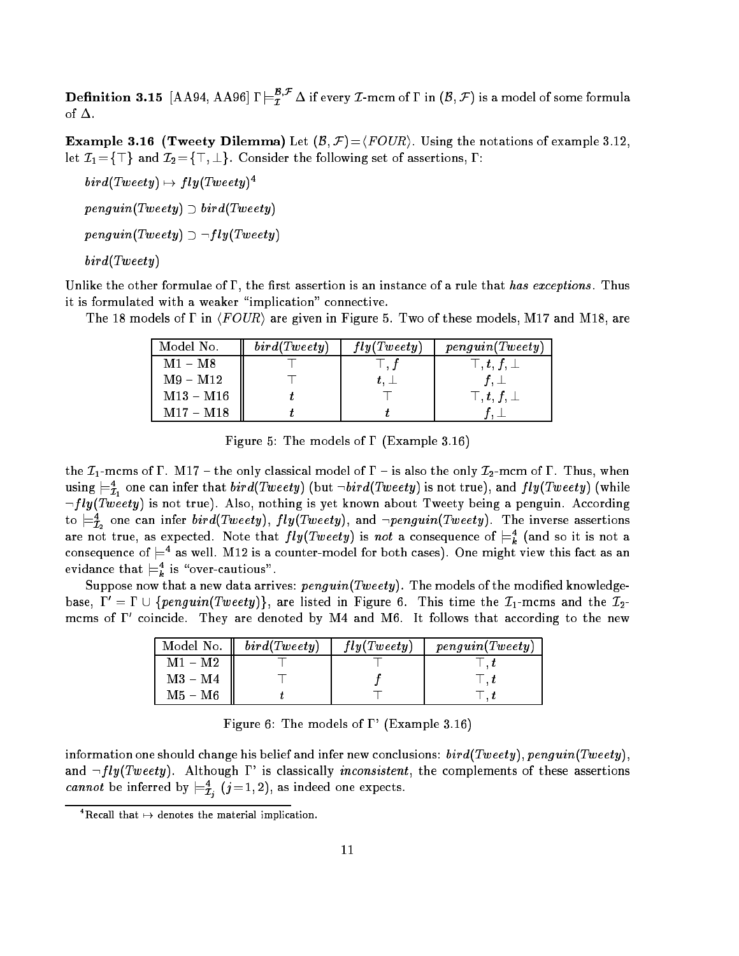${\bf Definition ~3.15 ~[A A 94, A A 96]\,}\Gamma\models^{{\bf B},{\bf F}}_{{\bf \cal I}}\Delta$  if every  ${\bf \cal I}$ -mcm of  $\Gamma$  in  $({\cal B},{\bf \cal F})$  is a model of some formula of  $\Delta$ .

**Example 3.16 (Tweety Dilemma)** Let  $(\mathcal{B}, \mathcal{F}) = \langle \text{FOUR} \rangle$ . Using the notations of example 3.12 let  $\mathcal{I}_1 = \{\top\}$  and  $\mathcal{I}_2 = \{\top, \bot\}$ . Consider the following set of assertions,  $\Gamma$ :

 $\mathit{b}$  aral  $\mathit{I}$  weety)  $\mapsto \mathit{I}$  iyet  $\mathit{I}$  weety)  $\mathit{I}$  $penguin(Tweety) \supset bird(Tweety)$  $penguin(Tweety) \supset \neg fly(Tweety)$ bird(Tweety)

Unlike the other formulae of  $\Gamma$ , the first assertion is an instance of a rule that has exceptions. Thus it is formulated with a weaker "implication" connective.

The 18 models of  $\Gamma$  in  $\langle FOUR \rangle$  are given in Figure 5. Two of these models, M17 and M18, are

| Model No.                 | bird(Tweety) | fly(Tweety)   | penguin(Tweety)             |
|---------------------------|--------------|---------------|-----------------------------|
| $\mathrm{M1}-\mathrm{M8}$ |              | $\perp$ , $f$ | $\top$ , $t$ , $f$ , $\bot$ |
| $M9 - M12$                |              | $t,\perp$     | $f,\perp$                   |
| $M13 - M16$               |              |               | $\top$ , $t$ , $f$ , $\bot$ |
| $M17 - M18$               |              |               |                             |

Figure 5: The models of  $\Gamma$  (Example 3.16)

the  $\mathcal{I}_1$ -mcms of  $\Gamma$ . M17 – the only classical model of  $\Gamma$  – is also the only  $\mathcal{I}_2$ -mcm of  $\Gamma$ . Thus, when using  $\models \tilde{\tau}_1$  one can infer that  $\textit{otra}(\textit{1weey})$  (but  $\neg \textit{bira}(\textit{1weey})$  is not true), and  $\textit{1ly}(\textit{1weey})$  (while  $\lnot fly(Tweety)$  is not true). Also, nothing is yet known about Tweety being a penguin. According to  $\equiv_{\bar{\mathcal{I}}_2}$  one can infer *otra*(Tweety), f ly(Tweety), and  $\neg$  penguin(Tweety). The inverse assertions are not true, as expected. Note that  $\frac{I\dot{y}(I \, \text{we} \, \text{c} \, \text{y})}{I\, \text{s}}$  is not a consequence of  $\frac{1}{I\, \text{s}}$  (and so it is not a consequence of  $\rightleftharpoons$  as well. M12 is a counter-model for both cases). One might view this fact as an evidance that  $\models_k$  is "over-cautious".

Suppose now that a new data arrives:  $penguin(Tweety)$ . The models of the modified knowledgebase,  $\Gamma' = \Gamma \cup \{penguin(Tweety)\}\$ , are listed in Figure 6. This time the  $\mathcal{I}_1$ -mcms and the  $\mathcal{I}_2$ mcms of 0 coincide. They are denoted by M4 and M6. It follows that according to the new

| Model No. | bird(Tweety) | fly(Tweety) | penguin(Tweety) |
|-----------|--------------|-------------|-----------------|
| $M1 - M2$ |              |             |                 |
| $M3 - M4$ |              |             |                 |
| M5 – M6   |              |             |                 |

Figure 6: The models of  $\Gamma$ ' (Example 3.16)

information one should change his belief and infer new conclusions:  $bird(Tweety)$ ,  $penguin(Tweety)$ and  $\neg fly(Tweety)$ . Although  $\Gamma'$  is classically *inconsistent*, the complements of these assertions *cannot* be inferred by  $\equiv_{\mathcal{I}_i} (j=1,2)$ , as indeed one expects.

 $\lceil$  Recall that  $\mapsto$  denotes the material implication.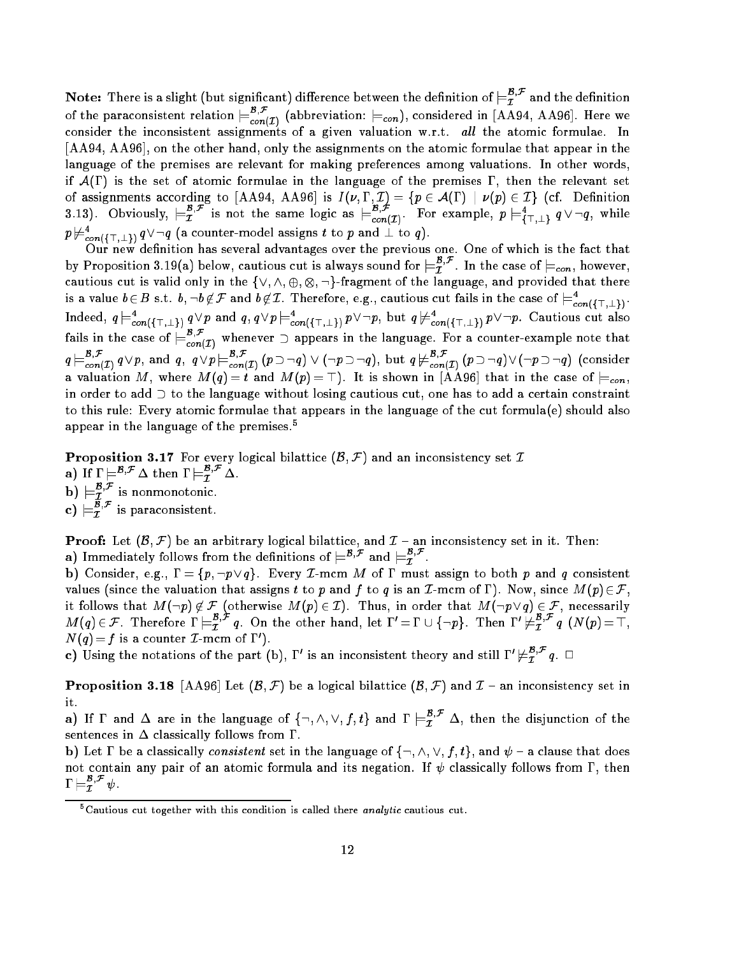${\bf Note:}$  There is a slight (but significant) difference between the definition of  $\models^{{\bf z},\tau}_{{\bf \mathcal{I}}}$  and the definition of the paraconsistent relation  $\models_{con(\mathcal{I})}^{\sim}$  (abbreviation:  $\models_{con}$ ), considered in [AA94, AA96]. Here we consider the inconsistent assignments of a given valuation w.r.t. all the atomic formulae. In [AA94, AA96], on the other hand, only the assignments on the atomic formulae that appear in the language of the premises are relevant for making preferences among valuations. In other words, if  $\mathcal{A}(\Gamma)$  is the set of atomic formulae in the language of the premises  $\Gamma$ , then the relevant set of assignments according to  $\mathcal{A}$  ,  $\mathcal{A}$  is in the following  $\mathcal{A}$  and  $\mathcal{A}$  is in  $\mathcal{A}$ 3.13). Obviously,  $\models \tilde{x}^\prime$  is not the same logic as  $\models^\sim_{con(\mathcal{I})}$ . For example,  $p \models^\tau_{\vec{i}\top,\bot\setminus} q \vee \neg q$ , while  $p\!\vDash_{\mathit{con}(\{\top,\bot\})}\!\ q\vee\neg q$  (a counter-model assigns t to  $p$  and  $\bot$  to  $q$ ).

Our new definition has several advantages over the previous one. One of which is the fact that by Proposition 3.19(a) below, cautious cut is always sound for  $\models_T^r$  . In the case of  $\models_{con}$ , however, - $\mathbf{r}$  is valid only in the fact in the fact of the language, and provided the language, and provided the language, and provided the language, and provided the language, and provided the language, and provided the langu is a value  $b \in B$  s.t.  $b, \neg b \not\in F$  and  $b \not\in I$ . Therefore, e.g., cautious cut fails in the case of  $\models_{con(\{\top, \bot\})}^{\neg}$ . maeed,  $q \vDash_{con(\{\top, \bot\})} q \vee p$  and  $q$ ,  $q \vee p \vDash_{con(\{\top, \bot\})} p \vee \neg p$ , but  $q \nvDash_{con(\{\top, \bot\})} p \vee \neg p$ . Cautious cut also fails in the case of  $\models_{con(\mathcal{I})}^{\neg}$  whenever  $\supset$  appears in the language. For a counter-example note that  $q \models_{con(\mathcal{I})} \ q \lor p,$  and  $q$ ,  $\ q \lor p \models_{con(\mathcal{I})} (p \supset \neg q) \lor (\neg p \supset \neg q)$ , but  $q \not\models_{con(\mathcal{I})} (p \supset \neg q) \lor (\neg p \supset \neg q)$  (consider a value time  $\mathcal{M}(t) = \mathcal{M}(t)$  , it is shown in the case of in the case of in  $\mathcal{M}(t)$ in order to add  $\supset$  to the language without losing cautious cut, one has to add a certain constraint to this rule: Every atomic formulae that appears in the language of the cut formula(e) should also appear in the language of the premises.5

**Proposition 3.17** For every logical bilattice  $(\mathcal{B}, \mathcal{F})$  and an inconsistency set  $\mathcal{I}$ a) If  $\Gamma \models^{\mathcal{B},\mathcal{F}} \Delta$  then  $\Gamma \models^{\mathcal{B},\mathcal{F}}_{\mathcal{I}} \Delta$ . b)  $\models^{\mathcal{B}, \mathcal{F}}_{\mathcal{I}}$  is nonmonotonic.<br>c)  $\models^{\mathcal{B}, \mathcal{F}}_{\mathcal{I}}$  is paraconsistent.

**Proof:** Let  $(\mathcal{B}, \mathcal{F})$  be an arbitrary logical bilattice, and  $\mathcal{I}$  - an inconsistency set in it. Then: **a)** Immediately follows from the definitions of  $\models^{ \mathcal{B},\mathcal{F}}$  and  $\models^{ \mathcal{B},\mathcal{F}}_{\mathcal{I}}.$ 

b) Consider, e.g.,  $\Gamma = \{p, \neg p \lor q\}$ . Every *T*-mcm *M* of  $\Gamma$  must assign to both *p* and *q* consistent values (since the valuation that assigns t to p and f to q is an I-mcm of  $\Gamma$ ). Now, since  $M(p) \in \mathcal{F}$ , it follows that M(:p) 62 F (otherwise M(p) 2 I). Thus, in order that M(:p\_q) 2 F, necessarily  $M(q)\in\mathcal{F}$  . Therefore  $\Gamma\models_T^{r,r}q$  . On the other hand, let  $\Gamma'= \Gamma\cup\{\neg p\}$  . Then  $\Gamma'\not\models_T^{r,r}q$  (N  $(p)=\bot,$  $N(q) = f$  is a counter  $L$ -mcm of 1  $\mu$ .

c) Using the notations of the part (b),  $\Gamma'$  is an inconsistent theory and still  $\Gamma'\not\models^{{\bf B},\mathcal{F}}_{\cal{I}} q_+\Box$ 

**Proposition 3.18** [AA96] Let  $(\mathcal{B}, \mathcal{F})$  be a logical bilattice  $(\mathcal{B}, \mathcal{F})$  and  $\mathcal{I}$  - an inconsistency set in it.

a) If  $\Gamma$  and  $\Delta$  are in the language of  $\{\neg, \wedge, \vee, f, t\}$  and  $\Gamma \models^{\mathcal{B}, \mathcal{F}}_{\mathcal{I}} \Delta$ , then the disjunction of the sentences in  $\Delta$  classically follows from  $\Gamma$ .

b) Let  $\Gamma$  be a classically *consistent* set in the language of  $\{\neg, \wedge, \vee, f, t\}$ , and  $\psi$  – a clause that does not contain any pair of an atomic formula and its negation. If  $\psi$  classically follows from  $\Gamma$ , then  $1 \vDash_{\mathcal{I}}^{\cdot} \psi.$ 

Uautious cut together with this condition is called there  $\it analytic$  cautious cut.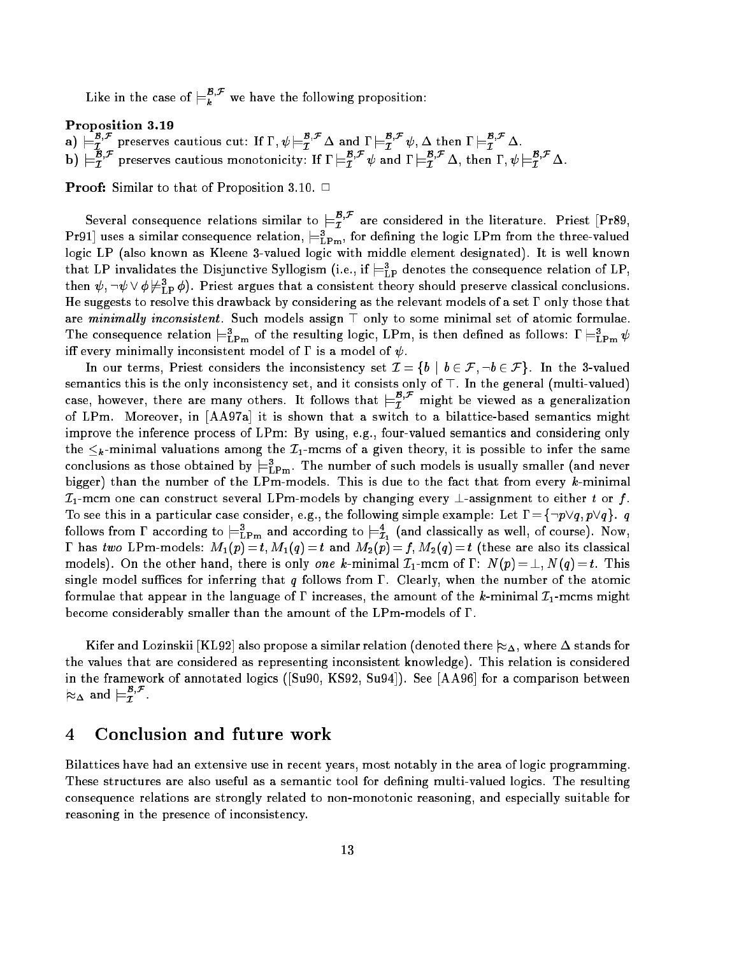Like in the case of  $\models_k^{T,*}$  we have the following proposition:

## Proposition 3.19

a)  $\models^{B,\mathcal{F}}_I$  preserves cautious cut: If  $\Gamma, \psi \models^{B,\mathcal{F}}_T \Delta$  and  $\Gamma \models^{B,\mathcal{F}}_T \psi$ ,  $\Delta$  then  $\Gamma \models^{B,\mathcal{F}}_T \Delta$ .<br>b)  $\models^{B,\mathcal{F}}_T$  preserves cautious monotonicity: If  $\Gamma \models^{B,\mathcal{F}}_T \psi$  and  $\Gamma \models^{B,\mathcal{F}}_T \Delta$ , then

**Proof:** Similar to that of Proposition 3.10.  $\Box$ 

Several consequence relations similar to  $\models_T^r$  are considered in the literature. Priest [Pr89, Pr91] uses a similar consequence relation,  $\sqsubset_{\rm LPM}$ , for defining the logic LPm from the three-valued logic LP (also known as Kleene 3-valued logic with middle element designated). It is well known that LP invalidates the Disjunctive Syllogism (i.e., if  $\mathrel{\vDash_{\mathrm{LP}}}$  denotes the consequence relation of LP, then  $\psi$  ,  $\neg \psi \vee \phi \nvDash_{\mathrm{LP}} \phi$  ). Priest argues that a consistent theory should preserve classical conclusions. He suggests to resolve this drawback by considering as the relevant models of a set  $\Gamma$  only those that are minimally inconsistent. Such models assign  $\top$  only to some minimal set of atomic formulae. The consequence relation  $\equiv_{\text{LPM}}^{\text{F}}$  of the resulting logic, LPm, is then defined as follows:  $\text{I} \equiv_{\text{LPM}}^{\text{F}} \psi$ iff every minimally inconsistent model of  $\Gamma$  is a model of  $\psi$ .

In our terms, Priest considers the inconsistency set  $\mathcal{I} = \{b \mid b \in \mathcal{F}, \neg b \in \mathcal{F}\}\$ . In the 3-valued semantics this is the only inconsistency set, and it consists only of >. In the general (multi-valued) case, however, there are many others. It follows that  $\models_{\mathcal{I}}$  might be viewed as a generalization of LPm. Moreover, in [AA97a] it is shown that a switch to a bilattice-based semantics might improve the inference process of LPm: By using, e.g., four-valued semantics and considering only the  $\leq_k$ -minimal valuations among the  $\mathcal{I}_1$ -mcms of a given theory, it is possible to infer the same conclusions as those obtained by  $\equiv^\text{t}_{\text{LPm}}$ . The number of such models is usually smaller (and never bigger) than the number of the LPm-models. This is due to the fact that from every k-minimal  $\mathcal{I}_1$ -mcm one can construct several LPm-models by changing every  $\bot$ -assignment to either t or f. To see this in a particular case consider, e.g., the following simple example: Let  $\Gamma = \{\neg p \lor q, p \lor q\}$ . q follows from 1 according to  $\equiv_{\rm LPm}$  and according to  $\equiv_{\bar{\cal I}_1}$  (and classically as well, of course). Now, -has two LPM-models: M1(p)  $\rightarrow$  the f(d)  $\rightarrow$  from M2(p)  $\rightarrow$  (these are also its classical models). On the other hand, there is only one k-minimal  $\mathcal{I}_1$ -mcm of  $\Gamma: N(p) = \bot, N(q) = t$ . This single model suffices for inferring that q follows from  $\Gamma$ . Clearly, when the number of the atomic formulae that appear in the language of  $\Gamma$  increases, the amount of the k-minimal  $\mathcal{I}_1$ -mcms might become considerably smaller than the amount of the  $LPm$ -models of  $\Gamma$ .

Kifer and Lozinskii [KL92] also propose a similar relation (denoted there  $\approx_\Delta,$  where  $\Delta$  stands for the values that are considered as representing inconsistent knowledge). This relation is considered in the framework of annotated logics ([Su90, KS92, Su94]). See [AA96] for a comparison between  $\approx_\Delta$  and  $\models_{\mathcal{I}}^r$  .

### 4Conclusion and future work

Bilattices have had an extensive use in recent years, most notably in the area of logic programming. These structures are also useful as a semantic tool for defining multi-valued logics. The resulting consequence relations are strongly related to non-monotonic reasoning, and especially suitable for reasoning in the presence of inconsistency.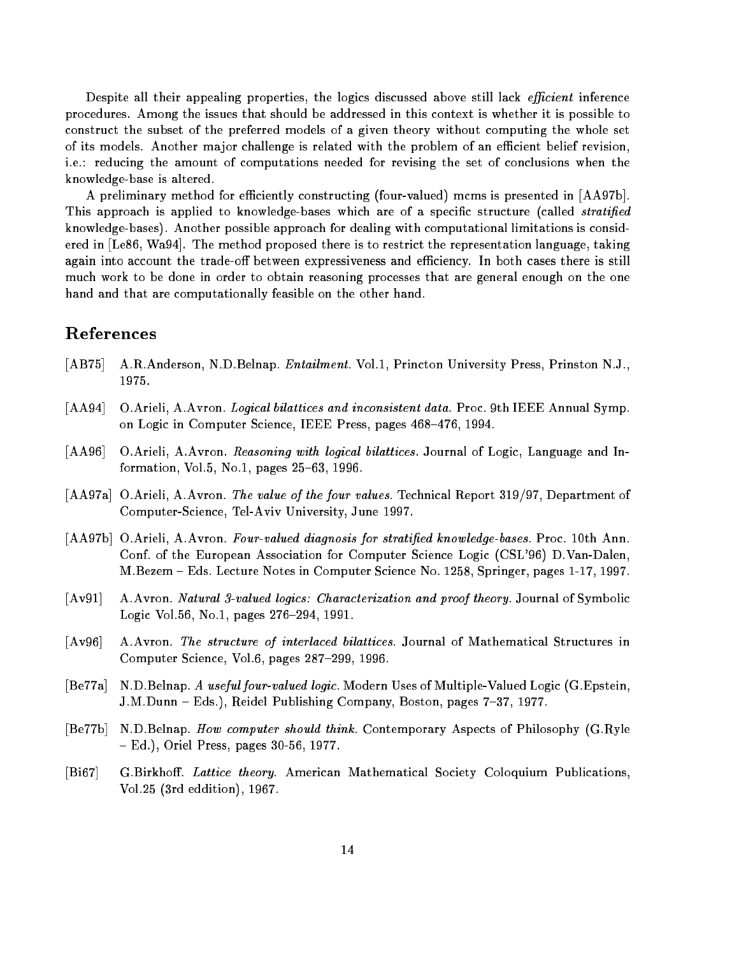Despite all their appealing properties, the logics discussed above still lack *efficient* inference procedures. Among the issues that should be addressed in this context is whether it is possible to construct the subset of the preferred models of a given theory without computing the whole set of its models. Another major challenge is related with the problem of an efficient belief revision, i.e.: reducing the amount of computations needed for revising the set of conclusions when the knowledge-base is altered.

A preliminary method for efficiently constructing (four-valued) mcms is presented in [AA97b]. This approach is applied to knowledge-bases which are of a specific structure (called *stratified* knowledge-bases). Another possible approach for dealing with computational limitations is considered in [Le86, Wa94]. The method proposed there is to restrict the representation language, taking again into account the trade-off between expressiveness and efficiency. In both cases there is still much work to be done in order to obtain reasoning processes that are general enough on the one hand and that are computationally feasible on the other hand.

# References

- [AB75] A.R.Anderson, N.D.Belnap. *Entailment*. Vol.1, Princton University Press, Prinston N.J., 1975.
- [AA94] O.Arieli, A.Avron. Logical bilattices and inconsistent data. Proc. 9th IEEE Annual Symp. on Logic in Computer Science, IEEE Press, pages 468-476, 1994.
- [AA96] O.Arieli, A.Avron. Reasoning with logical bilattices. Journal of Logic, Language and Information, Vol.5, No.1, pages  $25{-}63$ , 1996.
- [AA97a] O.Arieli, A.Avron. The value of the four values. Technical Report 319/97, Department of Computer-Science, Tel-Aviv University, June 1997.
- [AA97b] O.Arieli, A.Avron. Four-valued diagnosis for stratified knowledge-bases. Proc. 10th Ann. Conf. of the European Association for Computer Science Logic (CSL'96) D.Van-Dalen, M.Bezem { Eds. Lecture Notes in Computer Science No. 1258, Springer, pages 1-17, 1997.
- [Av91] A.Avron. Natural 3-valued logics: Characterization and proof theory. Journal of Symbolic Logic Vol.56, No.1, pages 276-294, 1991.
- [Av96] A.Avron. The structure of interlaced bilattices. Journal of Mathematical Structures in Computer Science, Vol.6, pages  $287-299$ , 1996.
- [Be77a] N.D.Belnap. A useful four-valued logic. Modern Uses of Multiple-Valued Logic (G.Epstein, J.M.Dunn - Eds.), Reidel Publishing Company, Boston, pages 7-37, 1977.
- [Be77b] N.D.Belnap. How computer should think. Contemporary Aspects of Philosophy (G.Ryle  $-$  Ed.), Oriel Press, pages 30-56, 1977.
- [Bi67] G.Birkhoff. Lattice theory. American Mathematical Society Coloquium Publications, Vol.25 (3rd eddition), 1967.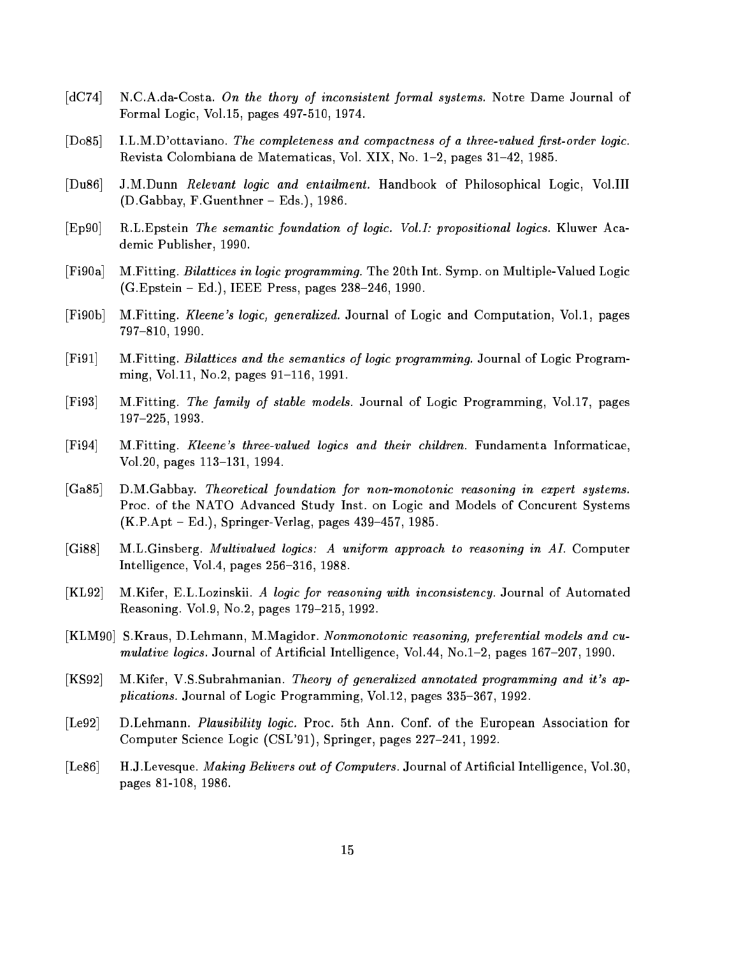- [dC74] N.C.A.da-Costa. On the thory of inconsistent formal systems. Notre Dame Journal of Formal Logic, Vol.15, pages 497-510, 1974.
- [Do85] I.L.M.D'ottaviano. The completeness and compactness of a three-valued first-order logic. Revista Colombiana de Matematicas, Vol. XIX, No. 1{2, pages 31{42, 1985.
- [Du86] J.M.Dunn Relevant logic and entailment. Handbook of Philosophical Logic, Vol.III  $(D.Gabbay, F.Guenthner - Eds.), 1986.$
- [Ep90] R.L.Epstein The semantic foundation of logic. Vol.I: propositional logics. Kluwer Academic Publisher, 1990.
- [Fi90a] M.Fitting. Bilattices in logic programming. The 20th Int. Symp. on Multiple-Valued Logic  $(G.Epstein - Ed.), IEEE Press, pages 238-246, 1990.$
- [Fi90b] M.Fitting. Kleene's logic, generalized. Journal of Logic and Computation, Vol.1, pages 797-810, 1990.
- [Fi91] M.Fitting. Bilattices and the semantics of logic programming. Journal of Logic Programming, Vol.11, No.2, pages  $91-116$ , 1991.
- [Fi93] M.Fitting. The family of stable models. Journal of Logic Programming, Vol.17, pages 197-225, 1993.
- [Fi94] M.Fitting. Kleene's three-valued logics and their children. Fundamenta Informaticae, Vol.20, pages  $113-131$ , 1994.
- [Ga85] D.M.Gabbay. Theoretical foundation for non-monotonic reasoning in expert systems. Proc. of the NATO Advanced Study Inst. on Logic and Models of Concurent Systems  $(K.P.Apt - Ed.), Springer-Verlag, pages 439-457, 1985.$
- [Gi88] M.L.Ginsberg. Multivalued logics: A uniform approach to reasoning in AI. Computer Intelligence, Vol.4, pages  $256-316$ , 1988.
- [KL92] M.Kifer, E.L.Lozinskii. A logic for reasoning with inconsistency. Journal of Automated Reasoning. Vol.9, No.2, pages 179-215, 1992.
- [KLM90] S.Kraus, D.Lehmann, M.Magidor. Nonmonotonic reasoning, preferential models and cumulative logics. Journal of Artificial Intelligence, Vol.44, No.1 $-2$ , pages 167 $-207$ , 1990.
- [KS92] M.Kifer, V.S.Subrahmanian. Theory of generalized annotated programming and it's applications. Journal of Logic Programming, Vol.12, pages 335-367, 1992.
- [Le92] D.Lehmann. Plausibility logic. Proc. 5th Ann. Conf. of the European Association for Computer Science Logic (CSL'91), Springer, pages 227-241, 1992.
- [Le86] H.J.Levesque. Making Belivers out of Computers. Journal of Artificial Intelligence, Vol.30, pages 81-108, 1986.